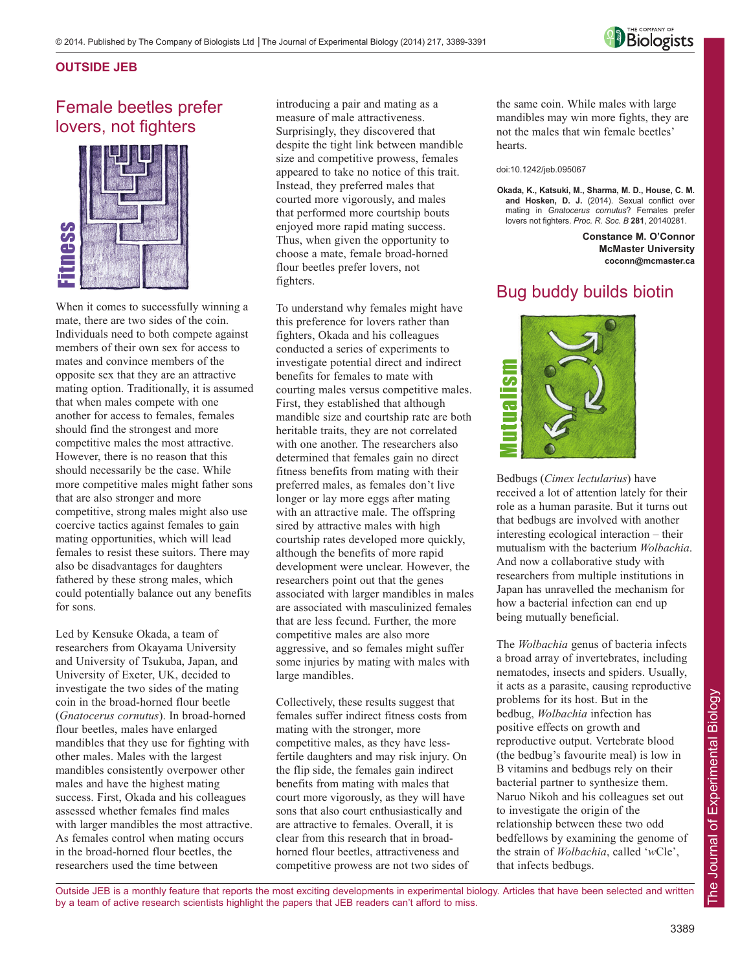

#### **OUTSIDE JEB**

## Female beetles prefer lovers, not fighters



When it comes to successfully winning a mate, there are two sides of the coin. Individuals need to both compete against members of their own sex for access to mates and convince members of the opposite sex that they are an attractive mating option. Traditionally, it is assumed that when males compete with one another for access to females, females should find the strongest and more competitive males the most attractive. However, there is no reason that this should necessarily be the case. While more competitive males might father sons that are also stronger and more competitive, strong males might also use coercive tactics against females to gain mating opportunities, which will lead females to resist these suitors. There may also be disadvantages for daughters fathered by these strong males, which could potentially balance out any benefits for sons.

Led by Kensuke Okada, a team of researchers from Okayama University and University of Tsukuba, Japan, and University of Exeter, UK, decided to investigate the two sides of the mating coin in the broad-horned flour beetle (*Gnatocerus cornutus*). In broad-horned flour beetles, males have enlarged mandibles that they use for fighting with other males. Males with the largest mandibles consistently overpower other males and have the highest mating success. First, Okada and his colleagues assessed whether females find males with larger mandibles the most attractive. As females control when mating occurs in the broad-horned flour beetles, the researchers used the time between

introducing a pair and mating as a measure of male attractiveness. Surprisingly, they discovered that despite the tight link between mandible size and competitive prowess, females appeared to take no notice of this trait. Instead, they preferred males that courted more vigorously, and males that performed more courtship bouts enjoyed more rapid mating success. Thus, when given the opportunity to choose a mate, female broad-horned flour beetles prefer lovers, not fighters.

To understand why females might have this preference for lovers rather than fighters, Okada and his colleagues conducted a series of experiments to investigate potential direct and indirect benefits for females to mate with courting males versus competitive males. First, they established that although mandible size and courtship rate are both heritable traits, they are not correlated with one another. The researchers also determined that females gain no direct fitness benefits from mating with their preferred males, as females don't live longer or lay more eggs after mating with an attractive male. The offspring sired by attractive males with high courtship rates developed more quickly, although the benefits of more rapid development were unclear. However, the researchers point out that the genes associated with larger mandibles in males are associated with masculinized females that are less fecund. Further, the more competitive males are also more aggressive, and so females might suffer some injuries by mating with males with large mandibles.

Collectively, these results suggest that females suffer indirect fitness costs from mating with the stronger, more competitive males, as they have lessfertile daughters and may risk injury. On the flip side, the females gain indirect benefits from mating with males that court more vigorously, as they will have sons that also court enthusiastically and are attractive to females. Overall, it is clear from this research that in broadhorned flour beetles, attractiveness and competitive prowess are not two sides of

the same coin. While males with large mandibles may win more fights, they are not the males that win female beetles' hearts.

doi:10.1242/jeb.095067

**Okada, K., Katsuki, M., Sharma, M. D., House, C. M. and Hosken, D. J.** (2014). Sexual conflict over mating in *Gnatocerus cornutus*? Females prefer lovers not fighters. *Proc. R. Soc. B* **281**, 20140281.

> **Constance M. O'Connor McMaster University coconn@mcmaster.ca**

# Bug buddy builds biotin



Bedbugs (*Cimex lectularius*) have received a lot of attention lately for their role as a human parasite. But it turns out that bedbugs are involved with another interesting ecological interaction – their mutualism with the bacterium *Wolbachia*. And now a collaborative study with researchers from multiple institutions in Japan has unravelled the mechanism for how a bacterial infection can end up being mutually beneficial.

that infects bedbugs. Mutualism The *Wolbachia* genus of bacteria infects a broad array of invertebrates, including nematodes, insects and spiders. Usually, it acts as a parasite, causing reproductive problems for its host. But in the bedbug, *Wolbachia* infection has positive effects on growth and reproductive output. Vertebrate blood (the bedbug's favourite meal) is low in B vitamins and bedbugs rely on their bacterial partner to synthesize them. Naruo Nikoh and his colleagues set out to investigate the origin of the relationship between these two odd bedfellows by examining the genome of the strain of *Wolbachia*, called '*w*Cle', that infects bedbugs.

The Journal of Experimental Biology The Journal of Experimental Biology

Outside JEB is a monthly feature that reports the most exciting developments in experimental biology. Articles that have been selected and written by a team of active research scientists highlight the papers that JEB readers can't afford to miss.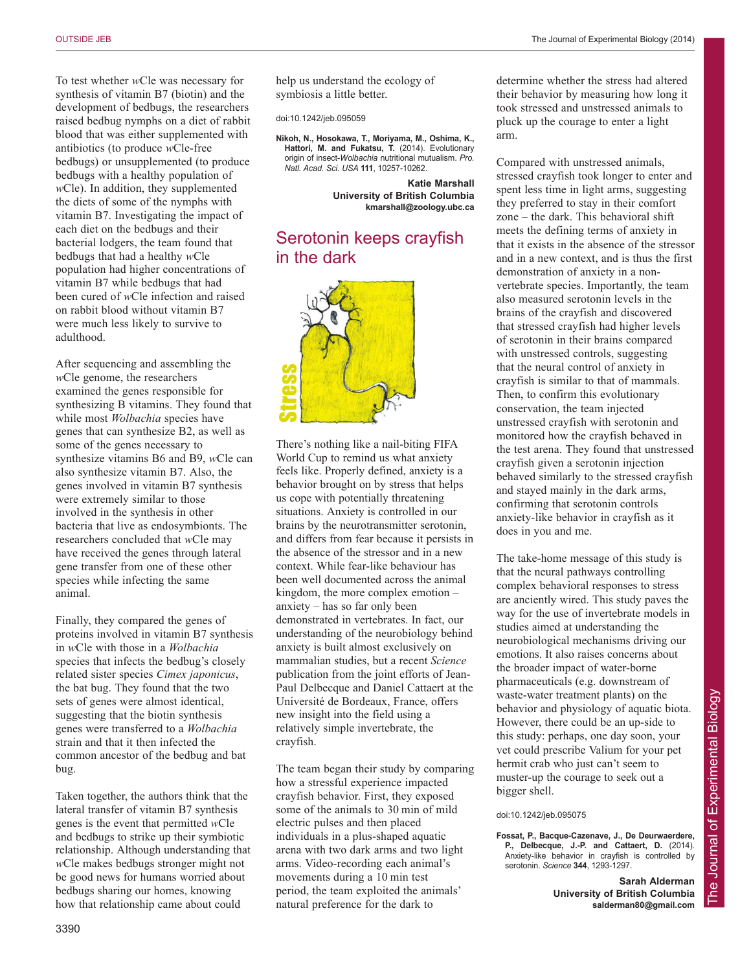OUTSIDE JEB The Journal of Experimental Biology (2014)

To test whether *w*Cle was necessary for synthesis of vitamin B7 (biotin) and the development of bedbugs, the researchers raised bedbug nymphs on a diet of rabbit blood that was either supplemented with antibiotics (to produce *w*Cle-free bedbugs) or unsupplemented (to produce bedbugs with a healthy population of *w*Cle). In addition, they supplemented the diets of some of the nymphs with vitamin B7. Investigating the impact of each diet on the bedbugs and their bacterial lodgers, the team found that bedbugs that had a healthy *w*Cle population had higher concentrations of vitamin B7 while bedbugs that had been cured of *w*Cle infection and raised on rabbit blood without vitamin B7 were much less likely to survive to adulthood.

After sequencing and assembling the *w*Cle genome, the researchers examined the genes responsible for synthesizing B vitamins. They found that while most *Wolbachia* species have genes that can synthesize B2, as well as some of the genes necessary to synthesize vitamins B6 and B9, *w*Cle can also synthesize vitamin B7. Also, the genes involved in vitamin B7 synthesis were extremely similar to those involved in the synthesis in other bacteria that live as endosymbionts. The researchers concluded that *w*Cle may have received the genes through lateral gene transfer from one of these other species while infecting the same animal.

Finally, they compared the genes of proteins involved in vitamin B7 synthesis in *w*Cle with those in a *Wolbachia* species that infects the bedbug's closely related sister species *Cimex japonicus*, the bat bug. They found that the two sets of genes were almost identical, suggesting that the biotin synthesis genes were transferred to a *Wolbachia* strain and that it then infected the common ancestor of the bedbug and bat bug.

Taken together, the authors think that the lateral transfer of vitamin B7 synthesis genes is the event that permitted *w*Cle and bedbugs to strike up their symbiotic relationship. Although understanding that *w*Cle makes bedbugs stronger might not be good news for humans worried about bedbugs sharing our homes, knowing how that relationship came about could

help us understand the ecology of symbiosis a little better.

doi:10.1242/jeb.095059

**Nikoh, N., Hosokawa, T., Moriyama, M., Oshima, K., Hattori, M. and Fukatsu, T.** (2014). Evolutionary origin of insect-*Wolbachia* nutritional mutualism. *Pro. Natl. Acad. Sci. USA* **111**, 10257-10262.

> **Katie Marshall University of British Columbia kmarshall@zoology.ubc.ca**

#### Serotonin keeps crayfish in the dark



There's nothing like a nail-biting FIFA World Cup to remind us what anxiety feels like. Properly defined, anxiety is a behavior brought on by stress that helps us cope with potentially threatening situations. Anxiety is controlled in our brains by the neurotransmitter serotonin, and differs from fear because it persists in the absence of the stressor and in a new context. While fear-like behaviour has been well documented across the animal kingdom, the more complex emotion – anxiety – has so far only been demonstrated in vertebrates. In fact, our understanding of the neurobiology behind anxiety is built almost exclusively on mammalian studies, but a recent *Science* publication from the joint efforts of Jean-Paul Delbecque and Daniel Cattaert at the Université de Bordeaux, France, offers new insight into the field using a relatively simple invertebrate, the crayfish. **Example 12**<br>There's nothing like a nail-biting<br>World Cup to remind us what any<br>feels like. Properly defined, anxie<br>behavior brought on by stress tha<br>us cope with potentially threateni<br>situations. Anxiety is controlled i<br>b

The team began their study by comparing how a stressful experience impacted crayfish behavior. First, they exposed some of the animals to 30 min of mild electric pulses and then placed individuals in a plus-shaped aquatic arena with two dark arms and two light arms. Video-recording each animal's movements during a 10 min test period, the team exploited the animals'

determine whether the stress had altered their behavior by measuring how long it took stressed and unstressed animals to pluck up the courage to enter a light arm.

Compared with unstressed animals, stressed crayfish took longer to enter and spent less time in light arms, suggesting they preferred to stay in their comfort zone – the dark. This behavioral shift meets the defining terms of anxiety in that it exists in the absence of the stressor and in a new context, and is thus the first demonstration of anxiety in a nonvertebrate species. Importantly, the team also measured serotonin levels in the brains of the crayfish and discovered that stressed crayfish had higher levels of serotonin in their brains compared with unstressed controls, suggesting that the neural control of anxiety in crayfish is similar to that of mammals. Then, to confirm this evolutionary conservation, the team injected unstressed crayfish with serotonin and monitored how the crayfish behaved in the test arena. They found that unstressed crayfish given a serotonin injection behaved similarly to the stressed crayfish and stayed mainly in the dark arms, confirming that serotonin controls anxiety-like behavior in crayfish as it does in you and me.

The take-home message of this study is that the neural pathways controlling complex behavioral responses to stress are anciently wired. This study paves the way for the use of invertebrate models in studies aimed at understanding the neurobiological mechanisms driving our emotions. It also raises concerns about the broader impact of water-borne pharmaceuticals (e.g. downstream of waste-water treatment plants) on the behavior and physiology of aquatic biota. However, there could be an up-side to this study: perhaps, one day soon, your vet could prescribe Valium for your pet hermit crab who just can't seem to muster-up the courage to seek out a bigger shell.

doi:10.1242/jeb.095075

**Fossat, P., Bacque-Cazenave, J., De Deurwaerdere, P., Delbecque, J.-P. and Cattaert, D.** (2014). Anxiety-like behavior in crayfish is controlled by serotonin. *Science* **344**, 1293-1297.

> **Sarah Alderman University of British Columbia salderman80@gmail.com**